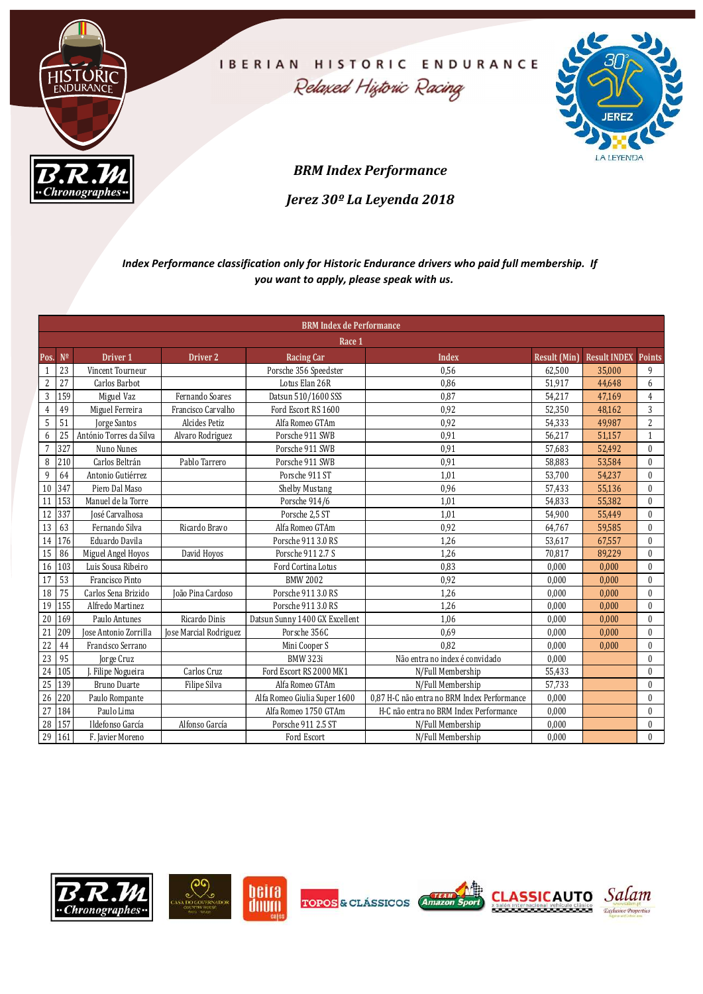

|                                                                  | $\boldsymbol{B.R.M}$                      |                        |                                            | <b>BRM Index Performance</b>                                                                      |                     | <b>JEREZ</b><br>LA LEYENDA |                              |
|------------------------------------------------------------------|-------------------------------------------|------------------------|--------------------------------------------|---------------------------------------------------------------------------------------------------|---------------------|----------------------------|------------------------------|
|                                                                  | "Chronographes"                           |                        |                                            |                                                                                                   |                     |                            |                              |
|                                                                  |                                           |                        | Jerez 30 <sup>°</sup> La Leyenda 2018      |                                                                                                   |                     |                            |                              |
|                                                                  |                                           |                        | you want to apply, please speak with us.   | Index Performance classification only for Historic Endurance drivers who paid full membership. If |                     |                            |                              |
|                                                                  |                                           |                        | <b>BRM Index de Performance</b>            |                                                                                                   |                     |                            |                              |
|                                                                  |                                           |                        | Race 1                                     |                                                                                                   |                     |                            |                              |
| Pos. Nº                                                          | Driver <sub>1</sub>                       | Driver 2               | <b>Racing Car</b>                          | Index                                                                                             | <b>Result (Min)</b> | <b>Result INDEX Points</b> |                              |
| $1 \mid 23$<br>$2 \mid 27$                                       | Vincent Tourneur<br>Carlos Barbot         |                        | Porsche 356 Speedster<br>Lotus Elan 26R    | 0,56<br>0,86                                                                                      | 62,500<br>51,917    | 35,000<br>44,648           | 9<br>6                       |
| $\begin{array}{ c c c }\n\hline\n3 & 159 \\ \hline\n\end{array}$ | Miguel Vaz                                | Fernando Soares        | Datsun 510/1600 SSS                        | 0,87                                                                                              | 54,217              | 47,169                     | $\overline{4}$               |
| 4 49                                                             | Miguel Ferreira                           | Francisco Carvalho     | Ford Escort RS 1600                        | 0,92                                                                                              | 52,350              | 48,162                     | $\mathbf{3}$                 |
| $5 \quad 51$                                                     | Jorge Santos                              | Alcides Petiz          | Alfa Romeo GTAm                            | 0,92                                                                                              | 54,333              | 49,987                     | $\mathbf{2}$                 |
| $6 \mid 25 \mid$                                                 | António Torres da Silva                   | Alvaro Rodriguez       | Porsche 911 SWB                            | 0,91                                                                                              | 56,217              | 51,157                     |                              |
| $\overline{7}$<br>327                                            | Nuno Nunes                                |                        | Porsche 911 SWB                            | 0,91                                                                                              | 57,683              | 52,492                     | $\mathbf{0}$                 |
| 8 210                                                            | Carlos Beltrán                            | Pablo Tarrero          | Porsche 911 SWB                            | 0,91                                                                                              | 58,883              | 53,584                     | $\mathbf{0}$                 |
| 9 64                                                             | Antonio Gutiérrez                         |                        | Porsche 911 ST                             | 1,01                                                                                              | 53,700              | 54,237                     | $\mathbf{0}$                 |
| 10 347                                                           | Piero Dal Maso                            |                        | Shelby Mustang                             | 0,96                                                                                              | 57,433              | 55,136                     | $\mathbf{0}$                 |
| 11 153                                                           | Manuel de la Torre                        |                        | Porsche 914/6                              | 1,01                                                                                              | 54,833              | 55,382                     | $\mathbf{0}$                 |
| 12 337                                                           | José Carvalhosa                           |                        | Porsche 2,5 ST                             | 1,01                                                                                              | 54,900              | 55,449                     | $\mathbf{0}$                 |
| 13 63                                                            | Fernando Silva                            | Ricardo Bravo          | Alfa Romeo GTAm                            | 0,92                                                                                              | 64,767              | 59,585                     | $\mathbf{0}$                 |
| 14 176                                                           | Eduardo Davila                            |                        | Porsche 911 3.0 RS                         | 1,26                                                                                              | 53,617              | 67,557                     | $\mathbf{0}$                 |
| 15 86                                                            | Miguel Angel Hoyos                        | David Hoyos            | Porsche 911 2.7 S                          | 1,26                                                                                              | 70,817              | 89,229                     | $\bf{0}$                     |
| 16 103                                                           | Luis Sousa Ribeiro                        |                        | Ford Cortina Lotus                         | 0,83                                                                                              | 0,000               | 0,000                      | $\mathbf{0}$                 |
| 17 53                                                            | Francisco Pinto                           |                        | <b>BMW 2002</b>                            | 0,92                                                                                              | 0,000               | 0,000                      | $\mathbf{0}$                 |
| $\begin{array}{ c c c }\n\hline\n18 & 75 \\ \hline\n\end{array}$ | Carlos Sena Brizido                       | João Pina Cardoso      | Porsche 911 3.0 RS                         | 1,26                                                                                              | 0,000               | 0,000                      | $\mathbf{0}$                 |
| 19 155                                                           | Alfredo Martinez                          |                        | Porsche 911 3.0 RS                         | 1,26                                                                                              | 0,000               | 0,000                      | $\mathbf{0}$                 |
| 20 169                                                           | Paulo Antunes                             | Ricardo Dinis          | Datsun Sunny 1400 GX Excellent             | $1,\!06$                                                                                          | 0,000               | 0,000                      | $\boldsymbol{0}$             |
|                                                                  | Jose Antonio Zorrilla                     | Jose Marcial Rodriguez | Porsche 356C                               | 0,69<br>0,82                                                                                      | 0,000               | 0,000                      | $\mathbf{0}$                 |
| 21 209<br>22 44<br>23 95<br>24 105                               | Francisco Serrano                         |                        | Mini Cooper S<br><b>BMW 323i</b>           |                                                                                                   | 0,000               | 0,000                      | $\bf{0}$                     |
|                                                                  | Jorge Cruz                                | Carlos Cruz            | Ford Escort RS 2000 MK1                    | Não entra no index é convidado<br>N/Full Membership                                               | 0,000<br>55,433     |                            | $\mathbf{0}$<br>$\mathbf{0}$ |
|                                                                  | J. Filipe Nogueira<br><b>Bruno Duarte</b> | Filipe Silva           | Alfa Romeo GTAm                            | N/Full Membership                                                                                 | 57,733              |                            | $\mathbf{0}$                 |
|                                                                  |                                           |                        | Alfa Romeo Giulia Super 1600               | 0,87 H-C não entra no BRM Index Performance                                                       | 0,000               |                            | $\bf{0}$                     |
| 25 139                                                           |                                           |                        |                                            | H-C não entra no BRM Index Performance                                                            | 0,000               |                            | $\mathbf{0}$                 |
| 26 220                                                           | Paulo Rompante                            |                        |                                            |                                                                                                   |                     |                            |                              |
| 27 184<br>28 157                                                 | Paulo Lima<br>Ildefonso García            | Alfonso García         | Alfa Romeo 1750 GTAm<br>Porsche 911 2.5 ST | N/Full Membership                                                                                 | 0,000               |                            | $\mathbf{0}$                 |